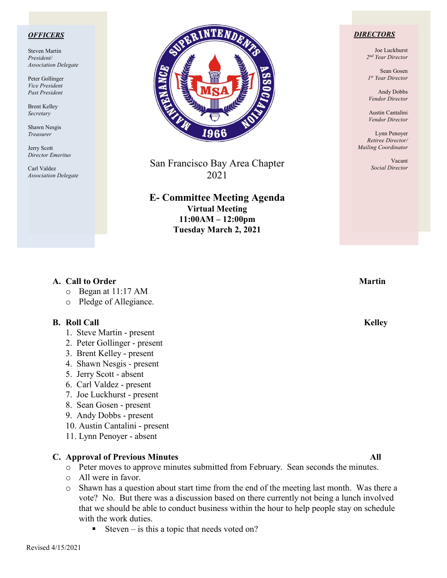### *OFFICERS*

Steven Martin *President/ Association Delegate*

Peter Gollinger *Vice President Past President*

Brent Kelley *Secretary*

Shawn Nesgis *Treasurer*

Jerry Scott *Director Emeritus*

Carl Valdez *Association Delegate*



San Francisco Bay Area Chapter 2021

**E- Committee Meeting Agenda Virtual Meeting 11:00AM – 12:00pm Tuesday March 2, 2021**

### *DIRECTORS*

Joe Luckhurst *2nd Year Director*

Sean Gosen *1st Year Director*

Andy Dobbs *Vendor Director*

Austin Cantalini *Vendor Director*

Lynn Penoyer *Retiree Director/ Mailing Coordinator*

> Vacant *Social Director*

# **A.** Call to Order Martin **Martin**

- o Began at 11:17 AM
- o Pledge of Allegiance.

### **B. Roll Call Kelley**

- 1. Steve Martin present
- 2. Peter Gollinger present
- 3. Brent Kelley present
- 4. Shawn Nesgis present
- 5. Jerry Scott absent
- 6. Carl Valdez present
- 7. Joe Luckhurst present
- 8. Sean Gosen present
- 9. Andy Dobbs present
- 10. Austin Cantalini present
- 11. Lynn Penoyer absent

## **C. Approval of Previous Minutes All**

- o Peter moves to approve minutes submitted from February. Sean seconds the minutes.
- o All were in favor.
- o Shawn has a question about start time from the end of the meeting last month. Was there a vote? No. But there was a discussion based on there currently not being a lunch involved that we should be able to conduct business within the hour to help people stay on schedule with the work duties.
	- Steven is this a topic that needs voted on?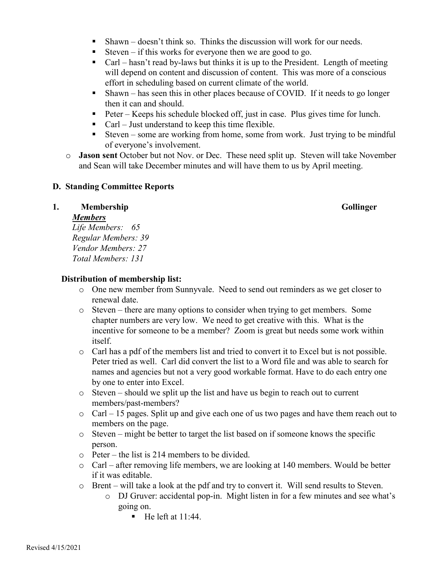- Shawn doesn't think so. Thinks the discussion will work for our needs.
- Steven if this works for everyone then we are good to go.
- Carl hasn't read by-laws but thinks it is up to the President. Length of meeting will depend on content and discussion of content. This was more of a conscious effort in scheduling based on current climate of the world.
- $\blacksquare$  Shawn has seen this in other places because of COVID. If it needs to go longer then it can and should.
- Peter Keeps his schedule blocked off, just in case. Plus gives time for lunch.
- Carl Just understand to keep this time flexible.
- Steven some are working from home, some from work. Just trying to be mindful of everyone's involvement.
- o **Jason sent** October but not Nov. or Dec. These need split up. Steven will take November and Sean will take December minutes and will have them to us by April meeting.

### **D. Standing Committee Reports**

## **1. Membership Gollinger**

### *Members*

*Life Members: 65 Regular Members: 39 Vendor Members: 27 Total Members: 131*

## **Distribution of membership list:**

- o One new member from Sunnyvale. Need to send out reminders as we get closer to renewal date.
- $\circ$  Steven there are many options to consider when trying to get members. Some chapter numbers are very low. We need to get creative with this. What is the incentive for someone to be a member? Zoom is great but needs some work within itself.
- o Carl has a pdf of the members list and tried to convert it to Excel but is not possible. Peter tried as well. Carl did convert the list to a Word file and was able to search for names and agencies but not a very good workable format. Have to do each entry one by one to enter into Excel.
- o Steven should we split up the list and have us begin to reach out to current members/past-members?
- $\circ$  Carl 15 pages. Split up and give each one of us two pages and have them reach out to members on the page.
- o Steven might be better to target the list based on if someone knows the specific person.
- o Peter the list is 214 members to be divided.
- o Carl after removing life members, we are looking at 140 members. Would be better if it was editable.
- o Brent will take a look at the pdf and try to convert it. Will send results to Steven.
	- o DJ Gruver: accidental pop-in. Might listen in for a few minutes and see what's going on.
		- $\blacksquare$  He left at  $11.44$ .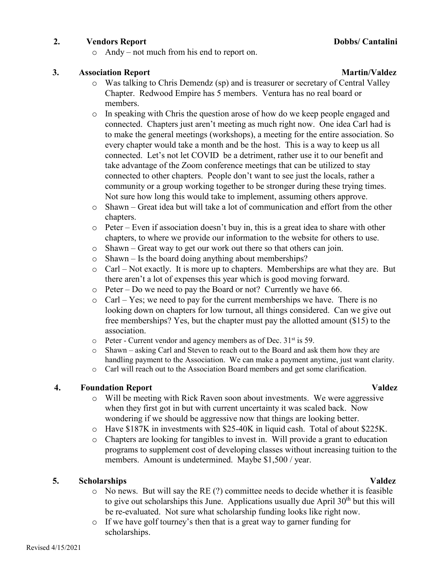## **2. Vendors Report Dobbs/ Cantalini**

o Andy – not much from his end to report on.

# **3. Association Report** Martin/Valdez

- o Was talking to Chris Demendz (sp) and is treasurer or secretary of Central Valley Chapter. Redwood Empire has 5 members. Ventura has no real board or members.
- o In speaking with Chris the question arose of how do we keep people engaged and connected. Chapters just aren't meeting as much right now. One idea Carl had is to make the general meetings (workshops), a meeting for the entire association. So every chapter would take a month and be the host. This is a way to keep us all connected. Let's not let COVID be a detriment, rather use it to our benefit and take advantage of the Zoom conference meetings that can be utilized to stay connected to other chapters. People don't want to see just the locals, rather a community or a group working together to be stronger during these trying times. Not sure how long this would take to implement, assuming others approve.
- o Shawn Great idea but will take a lot of communication and effort from the other chapters.
- $\circ$  Peter Even if association doesn't buy in, this is a great idea to share with other chapters, to where we provide our information to the website for others to use.
- $\circ$  Shawn Great way to get our work out there so that others can join.<br> $\circ$  Shawn Is the board doing anything about memberships?
- $Shawn Is the board doing anything about memberships?$
- o Carl Not exactly. It is more up to chapters. Memberships are what they are. But there aren't a lot of expenses this year which is good moving forward.
- o Peter Do we need to pay the Board or not? Currently we have 66.
- $\circ$  Carl Yes; we need to pay for the current memberships we have. There is no looking down on chapters for low turnout, all things considered. Can we give out free memberships? Yes, but the chapter must pay the allotted amount (\$15) to the association.
- o Peter Current vendor and agency members as of Dec.  $31^{st}$  is 59.<br>  $\circ$  Shawn asking Carl and Steven to reach out to the Board and ask
- Shawn asking Carl and Steven to reach out to the Board and ask them how they are handling payment to the Association. We can make a payment anytime, just want clarity.
- o Carl will reach out to the Association Board members and get some clarification.

# **4. Foundation Report Valdez**

- o Will be meeting with Rick Raven soon about investments. We were aggressive when they first got in but with current uncertainty it was scaled back. Now wondering if we should be aggressive now that things are looking better.
- o Have \$187K in investments with \$25-40K in liquid cash. Total of about \$225K.
- o Chapters are looking for tangibles to invest in. Will provide a grant to education programs to supplement cost of developing classes without increasing tuition to the members. Amount is undetermined. Maybe \$1,500 / year.

# **5. Scholarships Valdez**

- o No news. But will say the RE (?) committee needs to decide whether it is feasible to give out scholarships this June. Applications usually due April  $30<sup>th</sup>$  but this will be re-evaluated. Not sure what scholarship funding looks like right now.
- o If we have golf tourney's then that is a great way to garner funding for scholarships.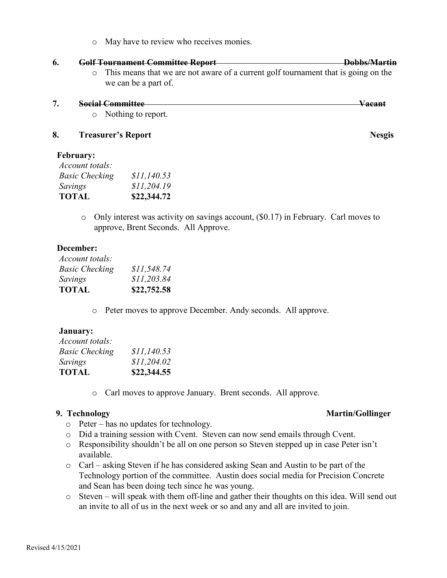o May have to review who receives monies.

# **6. Golf Tournament Committee Report Committee Report Dobbs/Martin**

o This means that we are not aware of a current golf tournament that is going on the we can be a part of.

### **7. Social Committee Vacant**

o Nothing to report.

### **8.** Treasurer's Report Nesgis

## **February:**

| Account totals:       |             |
|-----------------------|-------------|
| <b>Basic Checking</b> | \$11,140.53 |
| Savings               | \$11,204.19 |
| <b>TOTAL</b>          | \$22,344.72 |

o Only interest was activity on savings account, (\$0.17) in February. Carl moves to approve, Brent Seconds. All Approve.

## **December:**

| \$11,548.74 |
|-------------|
| \$11,203.84 |
| \$22,752.58 |
|             |

o Peter moves to approve December. Andy seconds. All approve.

### **January:**

| Account totals:       |             |
|-----------------------|-------------|
| <b>Basic Checking</b> | \$11,140.53 |
| Savings               | \$11,204.02 |
| <b>TOTAL</b>          | \$22,344.55 |

o Carl moves to approve January. Brent seconds. All approve.

- o Peter has no updates for technology.
- o Did a training session with Cvent. Steven can now send emails through Cvent.
- o Responsibility shouldn't be all on one person so Steven stepped up in case Peter isn't available.
- o Carl asking Steven if he has considered asking Sean and Austin to be part of the Technology portion of the committee. Austin does social media for Precision Concrete and Sean has been doing tech since he was young.
- o Steven will speak with them off-line and gather their thoughts on this idea. Will send out an invite to all of us in the next week or so and any and all are invited to join.

### **9. Technology Martin/Gollinger**